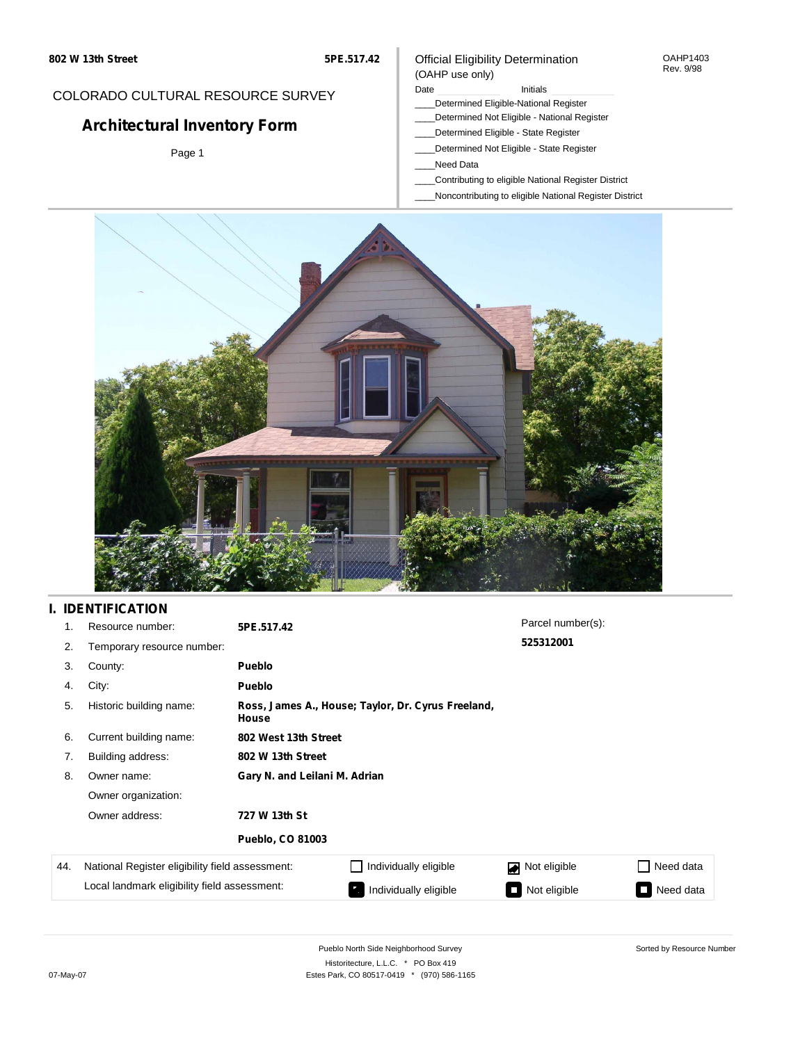#### OAHP1403 Rev. 9/98

### COLORADO CULTURAL RESOURCE SURVEY

# **Architectural Inventory Form**

Page 1

# (OAHP use only)

Official Eligibility Determination

- Date **Initials** Initials
- \_\_\_\_Determined Eligible-National Register \_\_\_\_Determined Not Eligible - National Register
- \_\_\_\_Determined Eligible State Register
- \_\_\_\_Determined Not Eligible State Register
- \_\_\_\_Need Data
- \_\_\_\_Contributing to eligible National Register District
- \_\_\_\_Noncontributing to eligible National Register District



### **I. IDENTIFICATION**

| 1.  | Resource number:                                | 5PE.517.42                    |                                                    | Parcel number(s): |           |  |  |  |
|-----|-------------------------------------------------|-------------------------------|----------------------------------------------------|-------------------|-----------|--|--|--|
| 2.  | Temporary resource number:                      |                               |                                                    | 525312001         |           |  |  |  |
| 3.  | County:                                         | <b>Pueblo</b>                 |                                                    |                   |           |  |  |  |
| 4.  | City:                                           | <b>Pueblo</b>                 |                                                    |                   |           |  |  |  |
| 5.  | Historic building name:                         | House                         | Ross, James A., House; Taylor, Dr. Cyrus Freeland, |                   |           |  |  |  |
| 6.  | Current building name:                          |                               | 802 West 13th Street                               |                   |           |  |  |  |
| 7.  | Building address:                               | 802 W 13th Street             |                                                    |                   |           |  |  |  |
| 8.  | Owner name:                                     | Gary N. and Leilani M. Adrian |                                                    |                   |           |  |  |  |
|     | Owner organization:                             |                               |                                                    |                   |           |  |  |  |
|     | Owner address:                                  | 727 W 13th St                 |                                                    |                   |           |  |  |  |
|     |                                                 | <b>Pueblo, CO 81003</b>       |                                                    |                   |           |  |  |  |
| 44. | National Register eligibility field assessment: |                               | Individually eligible                              | Not eligible<br>◪ | Need data |  |  |  |
|     | Local landmark eligibility field assessment:    |                               | Individually eligible                              | Not eligible      | Need data |  |  |  |

Sorted by Resource Number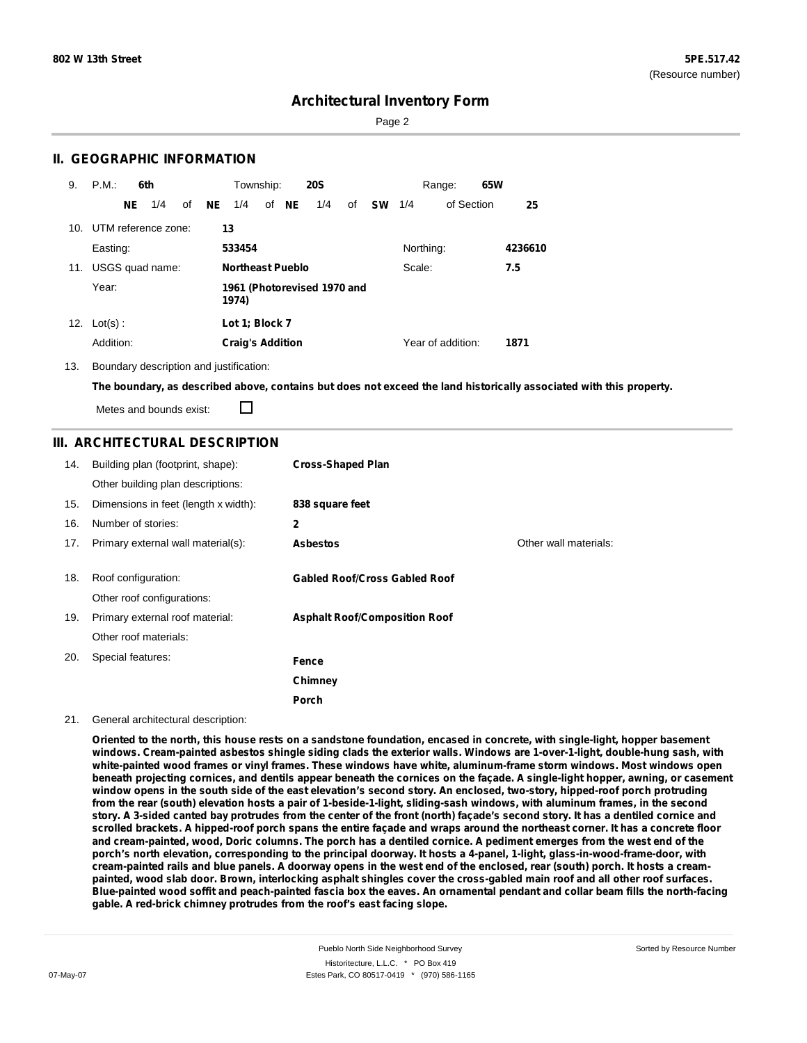Page 2

### **II. GEOGRAPHIC INFORMATION**

| 9.  | P.M.       |     | 6th                 |    |     | Township:               |       | <b>20S</b>                  |    |           |           | Range:            | 65W |         |
|-----|------------|-----|---------------------|----|-----|-------------------------|-------|-----------------------------|----|-----------|-----------|-------------------|-----|---------|
|     |            | NE. | 1/4                 | of | NE. | 1/4                     | of NE | 1/4                         | of | <b>SW</b> | 1/4       | of Section        |     | 25      |
| 10. |            |     | UTM reference zone: |    | 13  |                         |       |                             |    |           |           |                   |     |         |
|     | Easting:   |     |                     |    |     | 533454                  |       |                             |    |           | Northing: |                   |     | 4236610 |
| 11. |            |     | USGS quad name:     |    |     | <b>Northeast Pueblo</b> |       |                             |    |           | Scale:    |                   |     | 7.5     |
|     | Year:      |     |                     |    |     | 1974)                   |       | 1961 (Photorevised 1970 and |    |           |           |                   |     |         |
| 12. | $Lot(s)$ : |     |                     |    |     | Lot 1; Block 7          |       |                             |    |           |           |                   |     |         |
|     | Addition:  |     |                     |    |     | <b>Craig's Addition</b> |       |                             |    |           |           | Year of addition: |     | 1871    |

13. Boundary description and justification:

The boundary, as described above, contains but does not exceed the land historically associated with this property.

Metes and bounds exist:

П

### **III. ARCHITECTURAL DESCRIPTION**

| 14. | Building plan (footprint, shape):<br>Other building plan descriptions: | <b>Cross-Shaped Plan</b>             |                       |
|-----|------------------------------------------------------------------------|--------------------------------------|-----------------------|
| 15. | Dimensions in feet (length x width):                                   | 838 square feet                      |                       |
| 16. | Number of stories:                                                     | $\mathbf{2}$                         |                       |
| 17. | Primary external wall material(s):                                     | <b>Asbestos</b>                      | Other wall materials: |
|     |                                                                        |                                      |                       |
| 18. | Roof configuration:                                                    | <b>Gabled Roof/Cross Gabled Roof</b> |                       |
|     | Other roof configurations:                                             |                                      |                       |
| 19. | Primary external roof material:                                        | <b>Asphalt Roof/Composition Roof</b> |                       |
|     | Other roof materials:                                                  |                                      |                       |
| 20. | Special features:                                                      | Fence                                |                       |
|     |                                                                        | Chimney                              |                       |
|     |                                                                        | Porch                                |                       |

21. General architectural description:

Oriented to the north, this house rests on a sandstone foundation, encased in concrete, with single-light, hopper basement windows. Cream-painted asbestos shingle siding clads the exterior walls. Windows are 1-over-1-light, double-hung sash, with white-painted wood frames or vinyl frames. These windows have white, aluminum-frame storm windows. Most windows open beneath projecting cornices, and dentils appear beneath the cornices on the façade. A single-light hopper, awning, or casement window opens in the south side of the east elevation's second story. An enclosed, two-story, hipped-roof porch protruding from the rear (south) elevation hosts a pair of 1-beside-1-light, sliding-sash windows, with aluminum frames, in the second story. A 3-sided canted bay protrudes from the center of the front (north) façade's second story. It has a dentiled cornice and scrolled brackets. A hipped-roof porch spans the entire façade and wraps around the northeast corner. It has a concrete floor and cream-painted, wood, Doric columns. The porch has a dentiled cornice. A pediment emerges from the west end of the porch's north elevation, corresponding to the principal doorway. It hosts a 4-panel, 1-light, glass-in-wood-frame-door, with cream-painted rails and blue panels. A doorway opens in the west end of the enclosed, rear (south) porch. It hosts a creampainted, wood slab door. Brown, interlocking asphalt shingles cover the cross-gabled main roof and all other roof surfaces. Blue-painted wood soffit and peach-painted fascia box the eaves. An ornamental pendant and collar beam fills the north-facing **gable. A red-brick chimney protrudes from the roof's east facing slope.**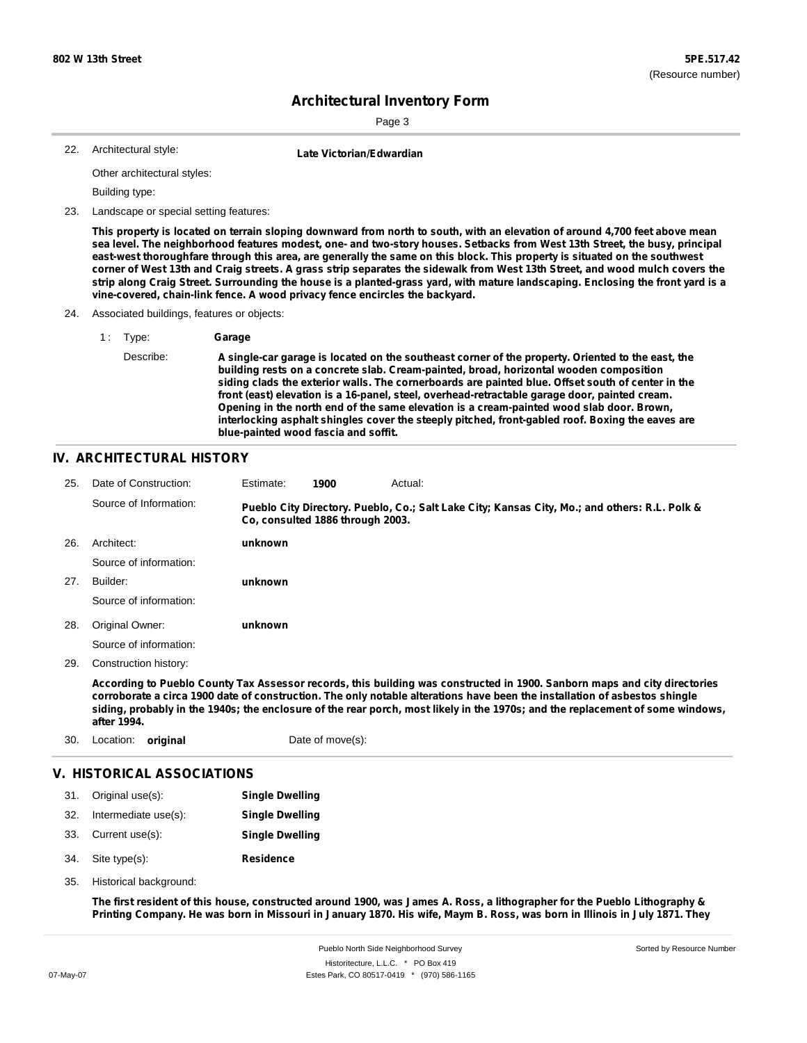Sorted by Resource Number

### **Architectural Inventory Form**

Page 3

Architectural style: 22. **Late Victorian/Edwardian**

Other architectural styles:

Building type:

23. Landscape or special setting features:

This property is located on terrain sloping downward from north to south, with an elevation of around 4,700 feet above mean sea level. The neighborhood features modest, one- and two-story houses. Setbacks from West 13th Street, the busy, principal east-west thoroughfare through this area, are generally the same on this block. This property is situated on the southwest corner of West 13th and Craig streets. A grass strip separates the sidewalk from West 13th Street, and wood mulch covers the strip along Craig Street. Surrounding the house is a planted-grass yard, with mature landscaping. Enclosing the front yard is a **vine-covered, chain-link fence. A wood privacy fence encircles the backyard.**

- 24. Associated buildings, features or objects:
	- 1 : Type: **Garage**

#### **IV. ARCHITECTURAL HISTORY**

| 25. | Date of Construction:  | Estimate: | 1900                             | Actual:                                                                                                                   |
|-----|------------------------|-----------|----------------------------------|---------------------------------------------------------------------------------------------------------------------------|
|     | Source of Information: |           | Co. consulted 1886 through 2003. | Pueblo City Directory. Pueblo, Co.; Salt Lake City; Kansas City, Mo.; and others: R.L. Polk &                             |
| 26. | Architect:             | unknown   |                                  |                                                                                                                           |
|     | Source of information: |           |                                  |                                                                                                                           |
| 27. | Builder:               | unknown   |                                  |                                                                                                                           |
|     | Source of information: |           |                                  |                                                                                                                           |
| 28. | Original Owner:        | unknown   |                                  |                                                                                                                           |
|     | Source of information: |           |                                  |                                                                                                                           |
| 29. | Construction history:  |           |                                  |                                                                                                                           |
|     |                        |           |                                  | According to Pueblo County Tax Assessor records, this building was constructed in 1900. Sanborn maps and city directories |

corroborate a circa 1900 date of construction. The only notable alterations have been the installation of asbestos shingle siding, probably in the 1940s; the enclosure of the rear porch, most likely in the 1970s; and the replacement of some windows, **after 1994.**

| 30. | Location: <b>original</b> |                            | Date of move(s):       |  |
|-----|---------------------------|----------------------------|------------------------|--|
|     |                           | V. HISTORICAL ASSOCIATIONS |                        |  |
|     | 31. Original use(s):      |                            | <b>Single Dwelling</b> |  |
| າາ  | Intormod into UCA(c)      |                            | Cinale Duallina        |  |

| 34. | $n$ intermediate usets). | Single Dwelling |  |  |
|-----|--------------------------|-----------------|--|--|
|     |                          |                 |  |  |

- 33. Current use(s): **Single Dwelling**
- **Residence** Site type(s): 34.
- Historical background: 35.

The first resident of this house, constructed around 1900, was James A. Ross, a lithographer for the Pueblo Lithography & Printing Company. He was born in Missouri in January 1870. His wife, Maym B. Ross, was born in Illinois in July 1871. They

Describe: A single-car garage is located on the southeast corner of the property. Oriented to the east, the **building rests on a concrete slab. Cream-painted, broad, horizontal wooden composition siding clads the exterior walls. The cornerboards are painted blue. Offset south of center in the front (east) elevation is a 16-panel, steel, overhead-retractable garage door, painted cream. Opening in the north end of the same elevation is a cream-painted wood slab door. Brown, interlocking asphalt shingles cover the steeply pitched, front-gabled roof. Boxing the eaves are blue-painted wood fascia and soffit.**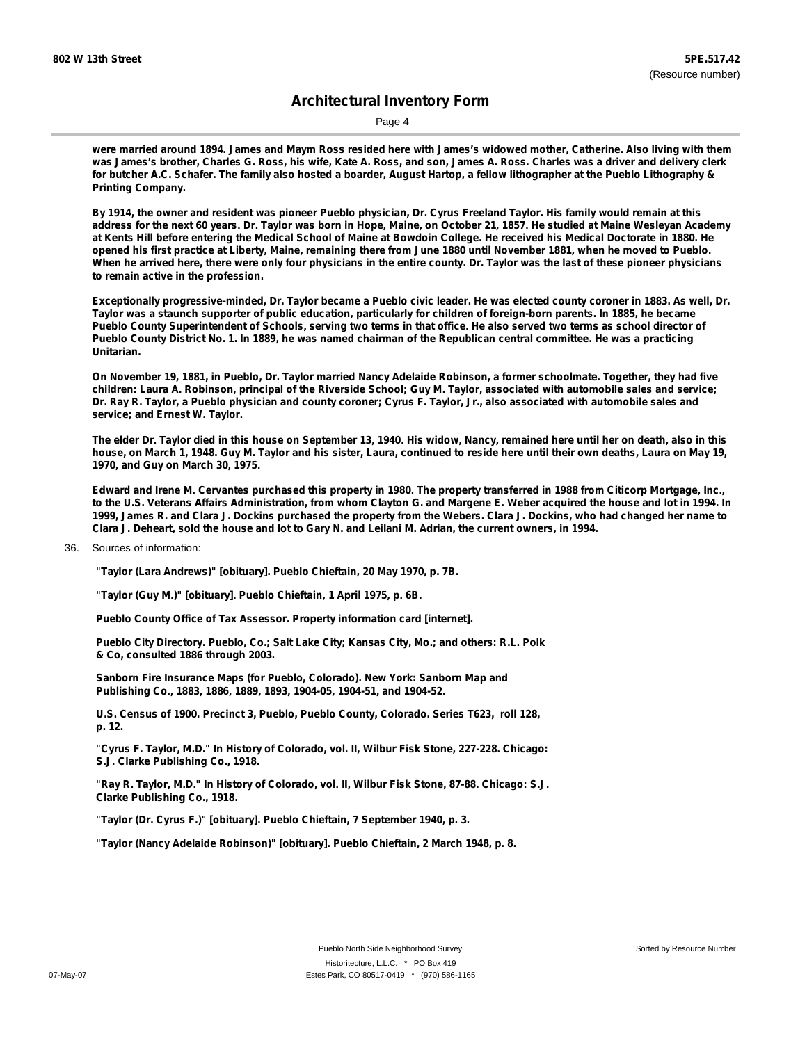Page 4

were married around 1894. James and Maym Ross resided here with James's widowed mother, Catherine. Also living with them was James's brother, Charles G. Ross, his wife, Kate A. Ross, and son, James A. Ross. Charles was a driver and delivery clerk for butcher A.C. Schafer. The family also hosted a boarder, August Hartop, a fellow lithographer at the Pueblo Lithography & **Printing Company.**

By 1914, the owner and resident was pioneer Pueblo physician, Dr. Cyrus Freeland Taylor. His family would remain at this address for the next 60 years. Dr. Taylor was born in Hope, Maine, on October 21, 1857. He studied at Maine Wesleyan Academy at Kents Hill before entering the Medical School of Maine at Bowdoin College. He received his Medical Doctorate in 1880. He opened his first practice at Liberty, Maine, remaining there from June 1880 until November 1881, when he moved to Pueblo. When he arrived here, there were only four physicians in the entire county. Dr. Taylor was the last of these pioneer physicians **to remain active in the profession.**

Exceptionally progressive-minded, Dr. Taylor became a Pueblo civic leader. He was elected county coroner in 1883. As well, Dr. Taylor was a staunch supporter of public education, particularly for children of foreign-born parents. In 1885, he became Pueblo County Superintendent of Schools, serving two terms in that office. He also served two terms as school director of Pueblo County District No. 1. In 1889, he was named chairman of the Republican central committee. He was a practicing **Unitarian.**

On November 19, 1881, in Pueblo, Dr. Taylor married Nancy Adelaide Robinson, a former schoolmate. Together, they had five children: Laura A. Robinson, principal of the Riverside School; Guy M. Taylor, associated with automobile sales and service; Dr. Ray R. Taylor, a Pueblo physician and county coroner; Cyrus F. Taylor, Jr., also associated with automobile sales and **service; and Ernest W. Taylor.**

The elder Dr. Taylor died in this house on September 13, 1940. His widow, Nancy, remained here until her on death, also in this house, on March 1, 1948, Guy M. Taylor and his sister, Laura, continued to reside here until their own deaths, Laura on May 19, **1970, and Guy on March 30, 1975.**

Edward and Irene M. Cervantes purchased this property in 1980. The property transferred in 1988 from Citicorp Mortgage, Inc., to the U.S. Veterans Affairs Administration, from whom Clayton G. and Margene E. Weber acquired the house and lot in 1994. In 1999, James R. and Clara J. Dockins purchased the property from the Webers. Clara J. Dockins, who had changed her name to Clara J. Deheart, sold the house and lot to Gary N. and Leilani M. Adrian, the current owners, in 1994.

36. Sources of information:

**"Taylor (Lara Andrews)" [obituary]. Pueblo Chieftain, 20 May 1970, p. 7B.**

**"Taylor (Guy M.)" [obituary]. Pueblo Chieftain, 1 April 1975, p. 6B.**

**Pueblo County Office of Tax Assessor. Property information card [internet].**

**Pueblo City Directory. Pueblo, Co.; Salt Lake City; Kansas City, Mo.; and others: R.L. Polk & Co, consulted 1886 through 2003.**

**Sanborn Fire Insurance Maps (for Pueblo, Colorado). New York: Sanborn Map and Publishing Co., 1883, 1886, 1889, 1893, 1904-05, 1904-51, and 1904-52.**

**U.S. Census of 1900. Precinct 3, Pueblo, Pueblo County, Colorado. Series T623, roll 128, p. 12.**

**"Cyrus F. Taylor, M.D." In History of Colorado, vol. II, Wilbur Fisk Stone, 227-228. Chicago: S.J. Clarke Publishing Co., 1918.**

**"Ray R. Taylor, M.D." In History of Colorado, vol. II, Wilbur Fisk Stone, 87-88. Chicago: S.J. Clarke Publishing Co., 1918.**

**"Taylor (Dr. Cyrus F.)" [obituary]. Pueblo Chieftain, 7 September 1940, p. 3.**

**"Taylor (Nancy Adelaide Robinson)" [obituary]. Pueblo Chieftain, 2 March 1948, p. 8.**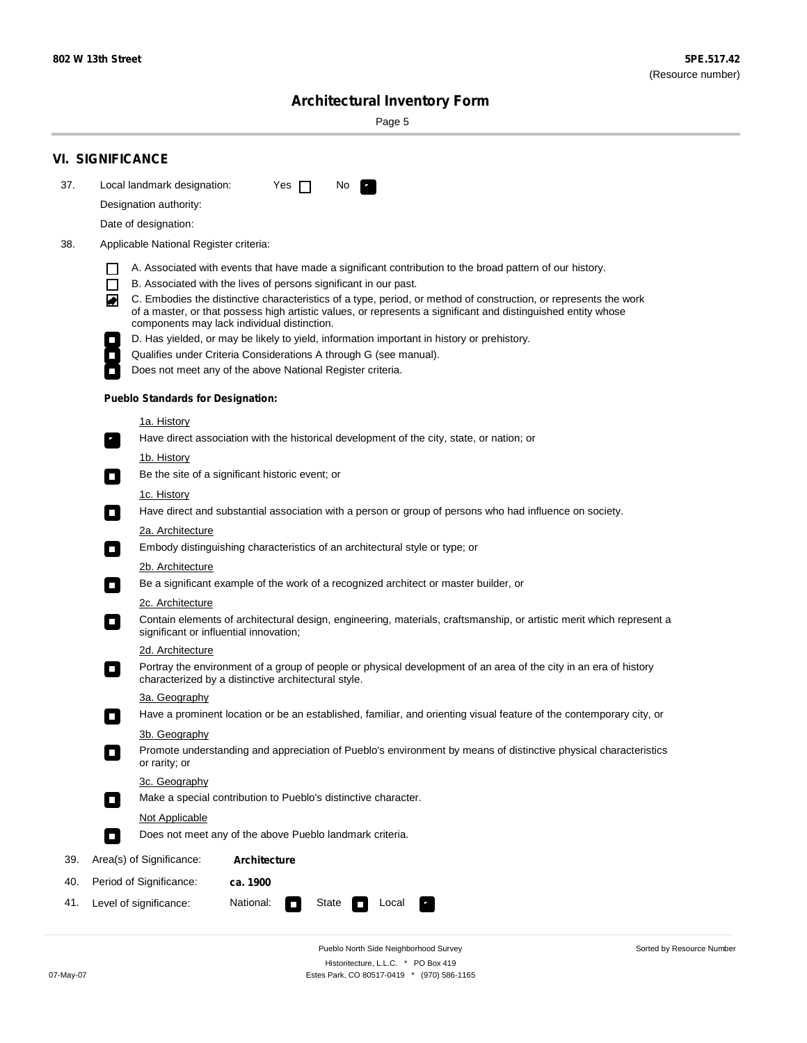Sorted by Resource Number

## **Architectural Inventory Form**

Page 5

|                                                                                                                  | <b>VI. SIGNIFICANCE</b>                                                                                                                                                                                                                                                               |  |  |
|------------------------------------------------------------------------------------------------------------------|---------------------------------------------------------------------------------------------------------------------------------------------------------------------------------------------------------------------------------------------------------------------------------------|--|--|
| 37.                                                                                                              | Local landmark designation:<br>Yes $\Box$<br>No.                                                                                                                                                                                                                                      |  |  |
|                                                                                                                  | Designation authority:                                                                                                                                                                                                                                                                |  |  |
|                                                                                                                  | Date of designation:                                                                                                                                                                                                                                                                  |  |  |
| 38.                                                                                                              | Applicable National Register criteria:                                                                                                                                                                                                                                                |  |  |
|                                                                                                                  | A. Associated with events that have made a significant contribution to the broad pattern of our history.                                                                                                                                                                              |  |  |
|                                                                                                                  | B. Associated with the lives of persons significant in our past.                                                                                                                                                                                                                      |  |  |
|                                                                                                                  | C. Embodies the distinctive characteristics of a type, period, or method of construction, or represents the work<br>◙<br>of a master, or that possess high artistic values, or represents a significant and distinguished entity whose<br>components may lack individual distinction. |  |  |
|                                                                                                                  | D. Has yielded, or may be likely to yield, information important in history or prehistory.                                                                                                                                                                                            |  |  |
|                                                                                                                  | Qualifies under Criteria Considerations A through G (see manual).                                                                                                                                                                                                                     |  |  |
|                                                                                                                  | Does not meet any of the above National Register criteria.                                                                                                                                                                                                                            |  |  |
|                                                                                                                  | <b>Pueblo Standards for Designation:</b>                                                                                                                                                                                                                                              |  |  |
|                                                                                                                  | <u>1a. History</u>                                                                                                                                                                                                                                                                    |  |  |
|                                                                                                                  | Have direct association with the historical development of the city, state, or nation; or<br>$\overline{\phantom{a}}$ .                                                                                                                                                               |  |  |
|                                                                                                                  | <u>1b. History</u>                                                                                                                                                                                                                                                                    |  |  |
|                                                                                                                  | Be the site of a significant historic event; or<br>$\Box$                                                                                                                                                                                                                             |  |  |
|                                                                                                                  | 1c. History<br>Have direct and substantial association with a person or group of persons who had influence on society.<br>$\sim$                                                                                                                                                      |  |  |
|                                                                                                                  | 2a. Architecture                                                                                                                                                                                                                                                                      |  |  |
|                                                                                                                  | Embody distinguishing characteristics of an architectural style or type; or<br>$\overline{\phantom{a}}$                                                                                                                                                                               |  |  |
|                                                                                                                  | 2b. Architecture                                                                                                                                                                                                                                                                      |  |  |
| Be a significant example of the work of a recognized architect or master builder, or<br>$\overline{\phantom{a}}$ |                                                                                                                                                                                                                                                                                       |  |  |
|                                                                                                                  | 2c. Architecture                                                                                                                                                                                                                                                                      |  |  |
|                                                                                                                  | Contain elements of architectural design, engineering, materials, craftsmanship, or artistic merit which represent a<br>$\mathcal{L}_{\mathcal{A}}$<br>significant or influential innovation;                                                                                         |  |  |
|                                                                                                                  | 2d. Architecture                                                                                                                                                                                                                                                                      |  |  |
|                                                                                                                  | Portray the environment of a group of people or physical development of an area of the city in an era of history<br>$\mathcal{L}_{\mathcal{A}}$<br>characterized by a distinctive architectural style.                                                                                |  |  |
|                                                                                                                  | 3a. Geography                                                                                                                                                                                                                                                                         |  |  |
|                                                                                                                  | Have a prominent location or be an established, familiar, and orienting visual feature of the contemporary city, or<br>П                                                                                                                                                              |  |  |
|                                                                                                                  | 3b. Geography                                                                                                                                                                                                                                                                         |  |  |
|                                                                                                                  | Promote understanding and appreciation of Pueblo's environment by means of distinctive physical characteristics<br>or rarity; or                                                                                                                                                      |  |  |
|                                                                                                                  | 3c. Geography                                                                                                                                                                                                                                                                         |  |  |
|                                                                                                                  | Make a special contribution to Pueblo's distinctive character.<br>О                                                                                                                                                                                                                   |  |  |
|                                                                                                                  | Not Applicable                                                                                                                                                                                                                                                                        |  |  |
|                                                                                                                  | Does not meet any of the above Pueblo landmark criteria.<br>$\overline{\phantom{a}}$                                                                                                                                                                                                  |  |  |
| 39.                                                                                                              | Area(s) of Significance:<br><b>Architecture</b>                                                                                                                                                                                                                                       |  |  |
| 40.                                                                                                              | Period of Significance:<br>ca. 1900                                                                                                                                                                                                                                                   |  |  |
| 41.                                                                                                              | National:<br>Level of significance:<br>State<br>Local<br>$\mathcal{L}_{\mathcal{A}}$                                                                                                                                                                                                  |  |  |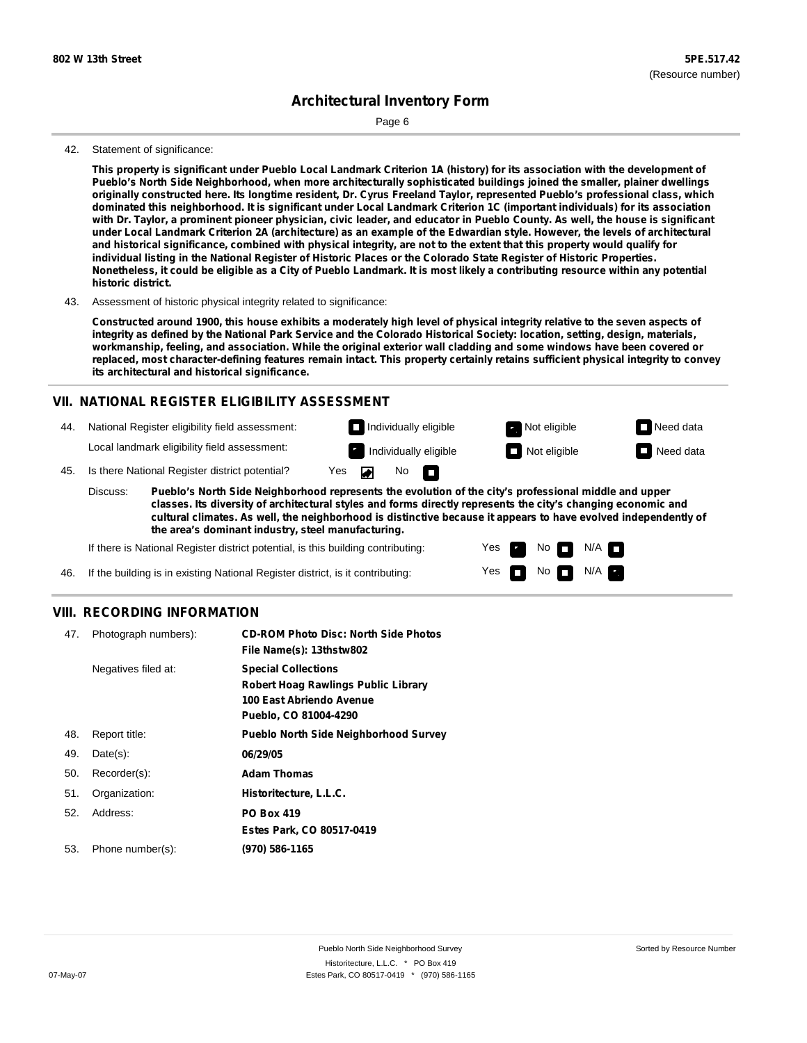Page 6

#### 42. Statement of significance:

This property is significant under Pueblo Local Landmark Criterion 1A (history) for its association with the development of **Pueblo's North Side Neighborhood, when more architecturally sophisticated buildings joined the smaller, plainer dwellings** originally constructed here. Its longtime resident, Dr. Cyrus Freeland Taylor, represented Pueblo's professional class, which dominated this neighborhood. It is significant under Local Landmark Criterion 1C (important individuals) for its association with Dr. Taylor, a prominent pioneer physician, civic leader, and educator in Pueblo County. As well, the house is significant under Local Landmark Criterion 2A (architecture) as an example of the Edwardian style. However, the levels of architectural and historical significance, combined with physical integrity, are not to the extent that this property would qualify for individual listing in the National Register of Historic Places or the Colorado State Register of Historic Properties. Nonetheless, it could be eligible as a City of Pueblo Landmark. It is most likely a contributing resource within any potential **historic district.**

43. Assessment of historic physical integrity related to significance:

Constructed around 1900, this house exhibits a moderately high level of physical integrity relative to the seven aspects of integrity as defined by the National Park Service and the Colorado Historical Society: location, setting, design, materials, workmanship, feeling, and association. While the original exterior wall cladding and some windows have been covered or replaced, most character-defining features remain intact. This property certainly retains sufficient physical integrity to convey **its architectural and historical significance.**

#### **VII. NATIONAL REGISTER ELIGIBILITY ASSESSMENT**



**classes. Its diversity of architectural styles and forms directly represents the city's changing economic and cultural climates. As well, the neighborhood is distinctive because it appears to have evolved independently of the area's dominant industry, steel manufacturing.**

> Yes Yes

No **D** N/A  $N$  No  $N/A$   $\blacksquare$ 

If there is National Register district potential, is this building contributing:

If the building is in existing National Register district, is it contributing: 46.

#### **VIII. RECORDING INFORMATION**

| 47. | Photograph numbers): | <b>CD-ROM Photo Disc: North Side Photos</b><br>File Name(s): 13thstw802                                                       |
|-----|----------------------|-------------------------------------------------------------------------------------------------------------------------------|
|     | Negatives filed at:  | <b>Special Collections</b><br><b>Robert Hoag Rawlings Public Library</b><br>100 East Abriendo Avenue<br>Pueblo, CO 81004-4290 |
| 48. | Report title:        | <b>Pueblo North Side Neighborhood Survey</b>                                                                                  |
| 49. | $Date(s)$ :          | 06/29/05                                                                                                                      |
| 50. | Recorder(s):         | <b>Adam Thomas</b>                                                                                                            |
| 51. | Organization:        | Historitecture, L.L.C.                                                                                                        |
| 52. | Address:             | <b>PO Box 419</b>                                                                                                             |
|     |                      | Estes Park, CO 80517-0419                                                                                                     |
| 53. | Phone number(s):     | (970) 586-1165                                                                                                                |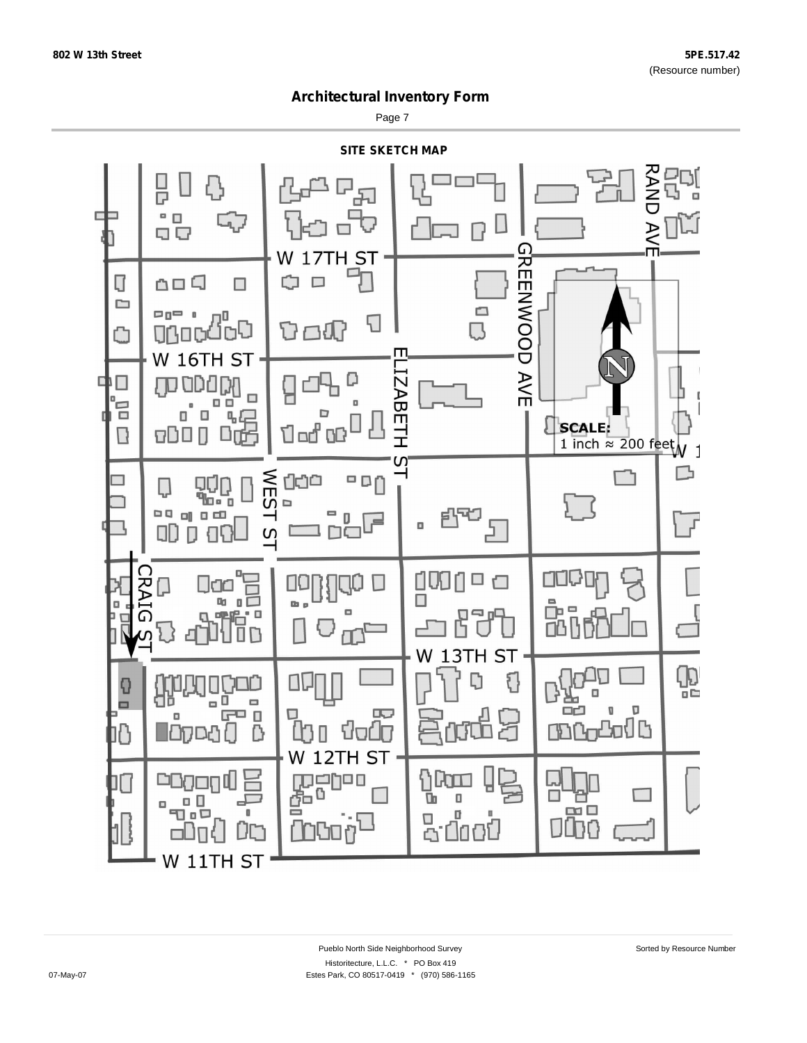Page 7